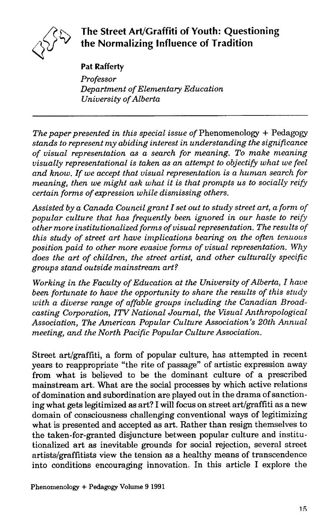

# The Street Art/Graffiti of Youth: Questioning " the Normalizing Influence of Tradition

Pat Rafferty Professor Department of Elementary Education University of Alberta

The paper presented in this special issue of Phenomenology  $+$  Pedagogy stands to represent my abiding interest in understanding the significance of visual representation as a search for meaning. To make meaning visually representational is taken as an attempt to objectify what we feel and know. If we accept that visual representation is a human search for meaning, then we might ask what it is that prompts us to socially reify certain forms of expression while dismissing others.

Assisted by a Canada Council grant I set out to study street art, a form of popular culture that has frequently been ignored in our haste to reify other more institutionalized forms of visual representation. The results of this study of street art have implications bearing on the often tenuous position paid to other more evasive forms of visual representation. Why does the art of children, the street artist, and other culturally specific groups stand outside mainstream art?

Working in the Faculty of Education at the University of Alberta, I have been fortunate to have the opportunity to share the results of this study with a diverse range of affable groups including the Canadian Broadcasting Corporation, ITV National Journal, the Visual Anthropological Association, The American Popular Culture Association's 20th Annual meeting, and the North Pacific Popular Culture Association.

Street art/graffiti, a form of popular culture, has attempted in recent years to reappropriate "the rite of passage" of artistic expression away from what is believed to be the dominant culture of a prescribed mainstream art. What are the social processes by which active relations of domination and subordination are played out in the drama of sanctioning what gets legitimized as art? I will focus on street art/graffiti as a new domain of consciousness challenging conventional ways of legitimizing what is presented and accepted as art. Rather than resign themselves to the taken-for-granted disjuncture between popular culture and institu tionalized art as inevitable grounds for social rejection, several street artists/graffitists view the tension as a healthy means of transcendence into conditions encouraging innovation. In this article I explore the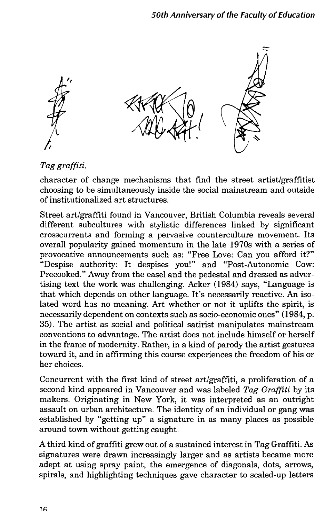

Tag graffiti.

character of change mechanisms that find the street artist/graffitist choosing to be simultaneously inside the social mainstream and outside of institutionalized art structures.

Street art/graffiti found in Vancouver, British Columbia reveals several different subcultures with stylistic differences linked by significant crosscurrents and forming a pervasive counterculture movement. Its overall popularity gained momentum in the late 1970s with a series of provocative announcements such as: "Free Love: Can you afford it?" "Despise authority: It despises you!" and "Post-Autonomic Cow: Precooked." Away from the easel and the pedestal and dressed as adver tising text the work was challenging. Acker (1984) says, "Language is that which depends on other language. It's necessarily reactive. An iso lated word has no meaning. Art whether or not it uplifts the spirit, is necessarily dependent on contexts such as socio-economic ones" (1984, p. 35). The artist as social and political satirist manipulates mainstream conventions to advantage. The artist does not include himself or herself in the frame of modernity. Rather, in a kind of parody the artist gestures toward it, and in affirming this course experiences the freedom of his or her choices.

Concurrent with the first kind of street art/graffiti, a proliferation of a second kind appeared in Vancouver and was labeled Tag Graffiti by its makers. Originating in New York, it was interpreted as an outright assault on urban architecture. The identity of an individual or gang was established by "getting up" a signature in as many places as possible around town without getting caught.

A third kind of graffiti grew out of a sustained interest in Tag Graffiti. As signatures were drawn increasingly larger and as artists became more adept at using spray paint, the emergence of diagonals, dots, arrows, spirals, and highlighting techniques gave character to scaled-up letters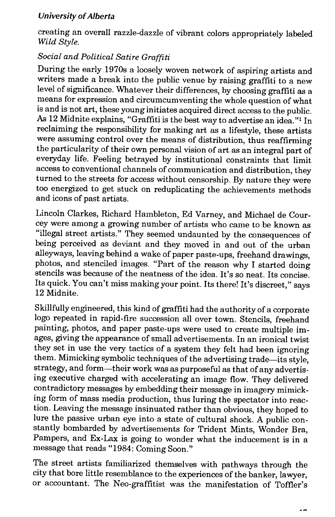creating an overall razzle-dazzle of vibrant colors appropriately labeled Wild Style.

## Social and Political Satire Graffiti

During the early 1970s <sup>a</sup> loosely woven network of aspiring artists and writers made <sup>a</sup> break into the public venue by raising graffiti to <sup>a</sup> new level of significance. Whatever their differences, by choosing graffiti as <sup>a</sup> means for expression and circumcumventing the whole question of what is and is not art, these young initiates acquired direct access to the public. As 12 Midnite explains, "Graffiti is the best way to advertise an idea."<sup>1</sup> In reclaiming the responsibility for making art as <sup>a</sup> lifestyle, these artists were assuming control over the means of distribution, thus reaffirming the particularity of their own personal vision of art as an integral part of everyday life. Feeling betrayed by institutional constraints that limit access to conventional channels of communication and distribution, they turned to the streets for access without censorship. By nature they were too energized to get stuck on reduplicating the achievements methods and icons of past artists.

Lincoln Clarkes, Richard Hambleton, Ed Varney, and Michael de Cour cey were among <sup>a</sup> growing number of artists who came to be known as "illegal street artists." They seemed undaunted by the consequences of being perceived as deviant and they moved in and out of the urban alleyways, leaving behind <sup>a</sup> wake of paper paste-ups, freehand drawings, <sup>p</sup>hotos, and stenciled images. "Part of the reason why <sup>I</sup> started doing stencils was because of the neatness of the idea. It's so neat. Its concise. Its quick. You can't miss making your point. Its there! It's discreet," says 12 Midnite.

Skillfully engineered, this kind of graffiti had the authority of <sup>a</sup> corporate logo repeated in rapid-fire succession all over town. Stencils, freehand painting, <sup>p</sup>hotos, and paper paste-ups were used to create multiple im ages, giving the appearance of small advertisements. In an ironical twist they set in use the very tactics of <sup>a</sup> system they felt had been ignoring them. Mimicking symbolic techniques of the advertising trade—its style, strategy, and form—their work was as purposeful as that of any advertis ing executive charged with accelerating an image flow. They delivered contradictory messages by embedding their message in imagery mimick ing form of mass media production, thus luring the spectator into reac tion. Leaving the message insinuated rather than obvious, they hoped to lure the passive urban eye into <sup>a</sup> state of cultural shock. <sup>A</sup> public con stantly bombarded by advertisements for Trident Mints, Wonder Bra, Pampers, and Ex-Lax is going to wonder what the inducement is in <sup>a</sup> message that reads "1984: Coming Soon."

The street artists familiarized themselves with pathways through the city that bore little resemblance to the experiences of the banker, lawyer, or accountant. The Neo-graffitist was the manifestation of Toffler's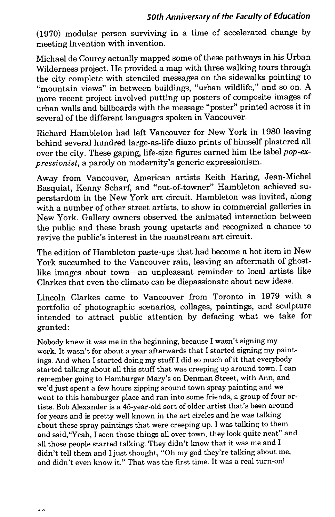(1970) modular person surviving in <sup>a</sup> time of accelerated change by meeting invention with invention.

Michael de Courcy actually mappe<sup>d</sup> some of these pathways in his Urban Wilderness project. He provided <sup>a</sup> map with three walking tours through the city complete with stenciled messages on the sidewalks pointing to "mountain views" in between buildings, "urban wildlife," and so on. A more recent project involved putting up posters of composite images of urban walls and billboards with the message "poster" printed across it in several of the different languages spoken in Vancouver.

Richard Hambleton had left Vancouver for New York in 1980 leaving behind several hundred large-as-life diazo prints of himself <sup>p</sup>lastered all over the city. These gaping, life-size figures earned him the label pop-expressionist, <sup>a</sup> parody on modernity's generic expressionism.

Away from Vancouver, American artists Keith Haring, Jean-Michel Basquiat, Kenny Scharf, and "out-of-towner" Hambleton achieved su perstardom in the New York art circuit. Hambleton was invited, along with a number of other street artists, to show in commercial galleries in New York. Gallery owners observed the animated interaction between the public and these brash young upstarts and recognized <sup>a</sup> chance to revive the public's interest in the mainstream art circuit.

The edition of Hambleton paste-ups that had become <sup>a</sup> hot item in New York succumbed to the Vancouver rain, leaving an aftermath of <sup>g</sup>host like images about town—an unpleasant reminder to local artists like Clarkes that even the climate can be dispassionate about new ideas.

Lincoln Clarkes came to Vancouver from Toronto in 1979 with <sup>a</sup> portfolio of <sup>p</sup>hotographic scenarios, collages, paintings, and sculpture intended to attract public attention by defacing what we take for granted:

Nobody knew it was me in the beginning, because <sup>I</sup> wasn't signing my work. It wasn't for about <sup>a</sup> year afterwards that <sup>I</sup> started signing my paint ings. And when <sup>I</sup> started doing my stuff <sup>I</sup> did so much of it that everybody started talking about all this stuff that was creeping up around town. <sup>I</sup> can remember going to Hamburger Mary's on Denman Street, with Ann, and we'd just spen<sup>t</sup> <sup>a</sup> few hours zipping around town spray painting and we went to this hamburger <sup>p</sup>lace and ran into some friends, <sup>a</sup> group of four ar tists. Bob Alexander is <sup>a</sup> 45-year-old sort of older artist that's been around for years and is pretty well known in the art circles and he was talking about these spray paintings that were creeping up. <sup>I</sup> was talking to them and said,"Yeah, <sup>I</sup> seen those things all over town, they look quite neat" and all those people started talking. They didn't know that it was me and <sup>I</sup> didn't tell them and I just thought, "Oh my god they're talking about me, and didn't even know it." That was the first time. It was <sup>a</sup> real turn-on!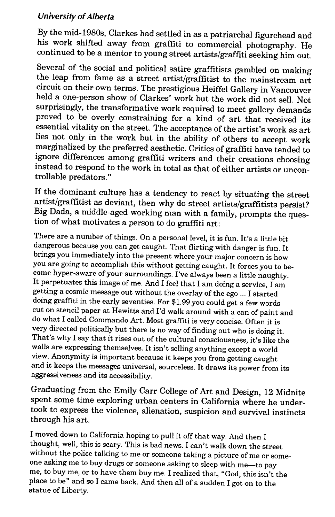By the mid-1980s, Clarkes had settled in as <sup>a</sup> patriarchal figurehead and his work shifted away from graffiti to commercial <sup>p</sup>hotography. He continued to be <sup>a</sup> mentor to young street artists/graffiti seeking him out.

Several of the social and political satire graffitists gambled on making the leap from fame as <sup>a</sup> street artist/graffitist to the mainstream art circuit on their own terms. The prestigious Heiffel Gallery in Vancouver held <sup>a</sup> one-person show of Clarkes' work but the work did not sell. Not surprisingly, the transformative work required to meet gallery demands proved to be overly constraining for <sup>a</sup> kind of art that received its essential vitality on the street. The acceptance of the artist's work as art lies not only in the work but in the ability of others to accept work marginalized by the preferred aesthetic. Critics of graffiti have tended to ignore differences among graffiti writers and their creations choosing instead to respond to the work in total as that of either artists or uncon trollable predators."

If the dominant culture has <sup>a</sup> tendency to react by situating the street artist/graffitist as deviant, then why do street artists/graffitists persist? Big Dada, <sup>a</sup> middle-aged working man with <sup>a</sup> family, prompts the ques tion of what motivates <sup>a</sup> person to do graffiti art:

There are <sup>a</sup> number of things. On <sup>a</sup> personal level, it is fun. It's <sup>a</sup> little bit dangerous because you can get caught. That flirting with danger is fun. It brings you immediately into the present where your major concern is how you are going to accomplish this without getting caught. It forces you to be come hyper-aware of your surroundings. I've always been <sup>a</sup> little naughty. It perpetuates this image of me. And <sup>I</sup> feel that <sup>I</sup> am doing <sup>a</sup> service, <sup>I</sup> am getting <sup>a</sup> cosmic message out without the overlay of the ego ...<sup>I</sup> started doing graffiti in the early seventies. For \$1.99 you could get <sup>a</sup> few words cut on stencil paper at Hewitts and I'd walk around with <sup>a</sup> can of paint and do what <sup>I</sup> called Commando Art. Most graffiti is very concise. Often it is very directed politically but there is no way of finding out who is doing it. That's why <sup>I</sup> say that it rises out of the cultural consciousness, it's like the walls are expressing themselves. It isn't selling anything except <sup>a</sup> world view. Anonymity is important because it keeps you from getting caught and it keeps the messages universal, sourceless. It draws its power from its aggressiveness and its accessibility.

Graduating from the Emily Carr College of Art and Design, <sup>12</sup> Midnite spent some time exploring urban centers in California where he under took to express the violence, alienation, suspicion and survival instincts through his art.

<sup>I</sup> moved down to California hoping to pull it off that way. And then <sup>I</sup> thought, well, this is scary. This is bad news. <sup>I</sup> can't walk down the street without the police talking to me or someone taking <sup>a</sup> <sup>p</sup>icture of me or some one asking me to buy drugs or someone asking to sleep with me—to pay me, to buy me, or to have them buy me. <sup>I</sup> realized that, "God, this isn't the <sup>p</sup>lace to be" and so <sup>I</sup> came back. And then all of <sup>a</sup> sudden <sup>I</sup> got on to the statue of Liberty.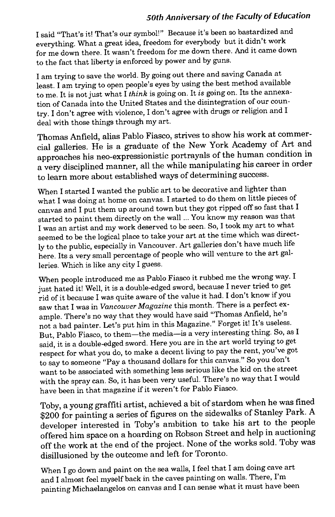I said "That's it! That's our symbol!" Because it's been so bastardized and everything. What <sup>a</sup> grea<sup>t</sup> idea, freedom for everybody but it didn't work for me down there. It wasn't freedom for me down there. And it came down to the fact that liberty is enforced by power and by guns.

I am trying to save the world. By going out there and saving Canada at least. <sup>I</sup> am trying to open people's eyes by using the best method available to me. It is not just what I think is going on. It is going on. Its the annexation of Canada into the United States and the disintegration of our coun try. <sup>I</sup> don't agree with violence, <sup>I</sup> don't agree with drugs or religion and <sup>I</sup> deal with those things through my art.

Thomas Anfield, alias Pablo Fiasco, strives to show his work at commer cial galleries. He is <sup>a</sup> graduate of the New York Academy of Art and approaches his neo-expressionistic portrayals of the human condition in <sup>a</sup> very disciplined manner, all the while manipulating his career in order to learn more about established ways of determining success.

When <sup>I</sup> started <sup>I</sup> wanted the public art to be decorative and lighter than what <sup>I</sup> was doing at home on canvas. <sup>I</sup> started to do them on little <sup>p</sup>ieces of canvas and <sup>I</sup> pu<sup>t</sup> them up around town but they go<sup>t</sup> ripped off so fast that <sup>I</sup> started to paint them directly on the wall ...You know my reason was that I was an artist and my work deserved to be seen. So, I took my art to what seemed to be the logical <sup>p</sup>lace to take your art at the time which was direct ly to the public, especially in Vancouver. Art galleries don't have much life here. Its <sup>a</sup> very small percentage of people who will venture to the art ga<sup>l</sup> leries. Which is like any city I guess.

When people introduced me as Pablo Fiasco it rubbed me the wrong way. <sup>I</sup> just hated it! Well, it is <sup>a</sup> double-edged sword, because <sup>I</sup> never tried to ge<sup>t</sup> rid of it because <sup>I</sup> was quite aware of the value it had. <sup>I</sup> don't know if you saw that I was in Vancouver Magazine this month. There is a perfect example. There's no way that they would have said "Thomas Anfield, he's not <sup>a</sup> bad painter. Let's pu<sup>t</sup> him in this Magazine." Forget it! It's useless. But, Pablo Fiasco, to them—the media—is <sup>a</sup> very interesting thing. So, as <sup>I</sup> said, it is <sup>a</sup> double-edged sword. Here you are in the art world trying to ge<sup>t</sup> respec<sup>t</sup> for what you do, to make <sup>a</sup> decent living to pay the rent, you've go<sup>t</sup> to say to someone "Pay <sup>a</sup> thousand dollars for this canvas." So you don't want to be associated with something less serious like the kid on the street with the spray can. So, it has been very useful. There's no way that <sup>I</sup> would have been in that magazine if it weren't for Pablo Fiasco.

Toby, a young graffiti artist, achieved a bit of stardom when he was fined \$200 for painting a series of figures on the sidewalks of Stanley Park. A developer interested in Toby's ambition to take his art to the people offered him space on <sup>a</sup> hoarding on Robson Street and help in auctioning off the work at the end of the project. None of the works sold. Toby was disillusioned by the outcome and left for Toronto.

When I go down and paint on the sea walls, I feel that I am doing cave art and <sup>I</sup> almost feel myself back in the caves painting on walls. There, I'm painting Michaelangelos on canvas and <sup>I</sup> can sense what it must have been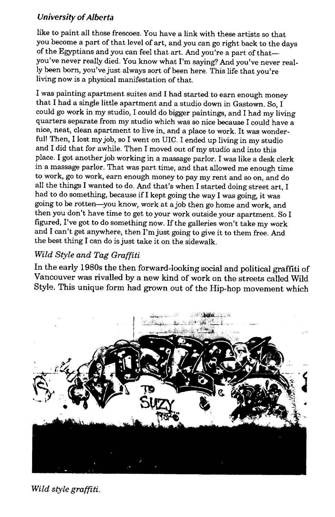like to paint all those frescoes. You have <sup>a</sup> link with these artists so that you become <sup>a</sup> part of that level of art, and you can go right back to the days of the Egyptians and you can feel that art. And you're <sup>a</sup> part of that you've never really died. You know what I'm saying? And you've never real ly been born, you've just always sort of been here. This life that you're living now is <sup>a</sup> <sup>p</sup>hysical manifestation of that.

<sup>I</sup> was painting apartment suites and <sup>I</sup> had started to earn enoug<sup>h</sup> money that <sup>I</sup> had <sup>a</sup> single little apartment and <sup>a</sup> studio down in Gastown. So, <sup>I</sup> could go work in my studio, <sup>I</sup> could do bigger paintings, and <sup>I</sup> had my living quarters separate from my studio which was so nice because I could have <sup>a</sup> nice, neat, clean apartment to live in, and <sup>a</sup> <sup>p</sup>lace to work. It was wonder ful! Then, <sup>I</sup> lost my job, so <sup>I</sup> went on UIC. <sup>I</sup> ended up living in my studio and <sup>I</sup> did that for awhile. Then <sup>I</sup> moved out of my studio and into this <sup>p</sup>lace. <sup>I</sup> got another job working in <sup>a</sup> massage parlor. <sup>I</sup> was like <sup>a</sup> desk clerk in <sup>a</sup> massage parlor. That was part time, and that allowed me enoug<sup>h</sup> time to work, go to work, earn enoug<sup>h</sup> money to pay my rent and so on, and do all the things <sup>I</sup> wanted to do. And that's when <sup>I</sup> started doing street art, <sup>I</sup> had to do something, because if <sup>I</sup> kept going the way <sup>I</sup> was going, it was going to be rotten—you know, work at <sup>a</sup> job then go home and work, and then you don't have time to get to your work outside your apartment. So <sup>I</sup> figured, I've got to do something now. If the galleries won't take my work and <sup>I</sup> can't get anywhere, then I'm just going to <sup>g</sup>ive it to them free. And the best thing <sup>I</sup> can do is just take it on the sidewalk.

## Wild Style and Tag Graffiti

In the early 1980s the then forward-looking social and political graffiti of Vancouver was rivalled by <sup>a</sup> new kind of work on the streets called Wild Style. This unique form had grown out of the Hip-hop movement which



Wild style graffiti.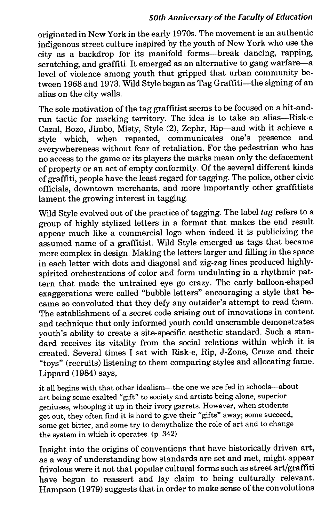originated in New York in the early 1970s. The movement is an authentic indigenous street culture inspired by the youth of New York who use the city as <sup>a</sup> backdrop for its manifold forms—break dancing, rapping, scratching, and graffiti. It emerge<sup>d</sup> as an alternative to gang warfare—a level of violence among youth that gripped that urban community be tween 1968 and 1973. Wild Style began as Tag Graffiti—the signing of an alias on the city walls.

The sole motivation of the tag graffitist seems to be focused on <sup>a</sup> hit-andrun tactic for marking territory. The idea is to take an alias—Risk-e Cazal, Bozo, Jimbo, Misty, Style (2), Zephr, Rip—and with it achieve <sup>a</sup> style which, when repeated, communicates one's presence and everywhereness without fear of retaliation. For the pedestrian who has no access to the game or its <sup>p</sup>layers the marks mean only the defacement of property or an act of empty conformity. Of the several different kinds of graffiti, people have the least regar<sup>d</sup> for tagging. The police, other civic officials, downtown merchants, and more importantly other graffitists lament the growing interest in tagging.

Wild Style evolved out of the practice of tagging. The label tag refers to <sup>a</sup> group of highly stylized letters in <sup>a</sup> format that makes the end result appear much like <sup>a</sup> commercial logo when indeed it is publicizing the assumed name of <sup>a</sup> graffitist. Wild Style emerge<sup>d</sup> as tags that became more complex in design. Making the letters larger and filling in the space in each letter with dots and diagonal and zig-zag lines produced highlyspirited orchestrations of color and form undulating in <sup>a</sup> rhythmic pa<sup>t</sup> tern that made the untrained eye go crazy. The early balloon-shaped exaggerations were called "bubble letters" encouraging <sup>a</sup> style that be came so convoluted that they defy any outsider's attempt to read them. The establishment of <sup>a</sup> secret code arising out of innovations in content and technique that only informed youth could unscramble demonstrates youth's ability to create <sup>a</sup> site-specific aesthetic standard. Such <sup>a</sup> stan dard receives its vitality from the social relations within which it is created. Several times <sup>I</sup> sat with Risk-e, Rip, J-Zone, Cruze and their "toys" (recruits) listening to them comparing styles and allocating fame. Lippard (1984) says,

it all begins with that other idealism—the one we are fed in schools—about art being some exalted "gift" to society and artists being alone, superior geniuses, whooping it up in their ivory garrets. However, when students ge<sup>t</sup> out, they often find it is hard to <sup>g</sup>ive their "gifts" away; some succeed, some ge<sup>t</sup> bitter, and some try to demythalize the role of art and to change the system in which it operates. (p. 342)

Insight into the origins of conventions that have historically driven art, as <sup>a</sup> way of understanding how standards are set and met, might appear frivolous were it not that popular cultural forms such as street art/graffiti have begun to reassert and lay claim to being culturally relevant. Hampson (1979) suggests that in order to make sense of the convolutions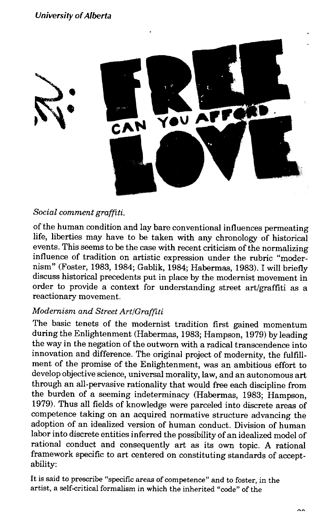

## Social comment graffiti.

of the human condition and lay bare conventional influences permeating life, liberties may have to be taken with any chronology of historical events. This seems to be the case with recent criticism of the normalizing influence of tradition on artistic expression under the rubric "moder nism" (Foster, 1983, 1984; Gablik, 1984; Habermas, 1983). <sup>I</sup> will briefly discuss historical precedents put in <sup>p</sup>lace by the modernist movement in order to provide <sup>a</sup> context for understanding street art/graffiti as <sup>a</sup> reactionary movement.

## Modernism and Street Art/Graffiti

The basic tenets of the modernist tradition first gained momentum during the Enlightenment (Habermas, 1983; Hampson, 1979) by leading the way in the negation of the outworn with <sup>a</sup> radical transcendence into innovation and difference. The original project of modernity, the fulfill ment of the promise of the Enlightenment, was an ambitious effort to develop objective science, universal morality, law, and an autonomous art through an all-pervasive rationality that would free each discipline from the burden of <sup>a</sup> seeming indeterminacy (Habermas, 1983; Hampson, 1979). Thus all fields of knowledge were parceled into discrete areas of competence taking on an acquired normative structure advancing the adoption of an idealized version of human conduct. Division of human labor into discrete entities inferred the possibility of an idealized model of rational conduct and consequently art as its own topic. <sup>A</sup> rational framework specific to art centered on constituting standards of accept ability:

It is said to prescribe "specific areas of competence" and to foster, in the artist, <sup>a</sup> self-critical formalism in which the inherited "code" of the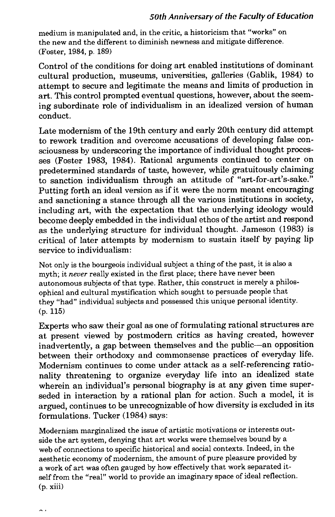medium is manipulated and, in the critic, a historicism that "works" on the new and the different to diminish newness and mitigate difference. (Foster, 1984, P. 189)

Control of the conditions for doing art enabled institutions of dominant cultural production, museums, universities, galleries (Gablik, 1984) to attempt to secure and legitimate the means and limits of production in art. This control prompted eventual questions, however, about the seem ing subordinate role of individualism in an idealized version of human conduct.

Late modernism of the 19th century and early 20th century did attempt to rework tradition and overcome accusations of developing false con sciousness by underscoring the importance of individual thought proces ses (Foster 1983, 1984). Rational arguments continued to center on predetermined standards of taste, however, while gratuitously claiming to sanction individualism through an attitude of "art-for-art's-sake." Putting forth an ideal version as if it were the norm meant encouraging and sanctioning a stance through all the various institutions in society, including art, with the expectation that the underlying ideology would become deeply embedded in the individual ethos of the artist and respond as the underlying structure for individual thought. Jameson (1983) is critical of later attempts by modernism to sustain itself by paying lip service to individualism:

Not only is the bourgeois individual subject a thing of the past, it is also a myth; it never really existed in the first place; there have never been autonomous subjects of that type. Rather, this construct is merely a philos ophical and cultural mystification which sought to persuade people that they "had" individual subjects and possessed this unique personal identity. (p. 115)

Experts who saw their goal as one of formulating rational structures are at present viewed by postmodern critics as having created, however inadvertently, a gap between themselves and the public—an opposition between their orthodoxy and commonsense practices of everyday life. Modernism continues to come under attack as a self-referencing ratio nality threatening to organize everyday life into an idealized state wherein an individual's personal biography is at any given time super seded in interaction by a rational plan for action. Such a model, it is argued, continues to be unrecognizable of how diversity is excluded in its formulations. Tucker (1984) says:

Modernism marginalized the issue of artistic motivations or interests out side the art system, denying that art works were themselves bound by a web of connections to specific historical and social contexts. Indeed, in the aesthetic economy of modernism, the amount of pure pleasure provided by <sup>a</sup> work of art was often gauged by how effectively that work separated it self from the "real" world to provide an imaginary space of ideal reflection. (p. xiii)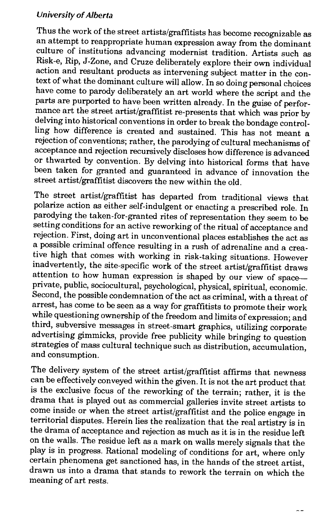Thus the work of the street artists/graffitists has become recognizable as an attempt to reappropriate human expression away from the dominant culture of institutions advancing modernist tradition. Artists such as Risk-e, Rip, J-Zone, and Cruze deliberately explore their own individual action and resultant products as intervening subject matter in the con text of what the dominant culture will allow. In so doing personal choices have come to parody deliberately an art world where the script and the parts are purported to have been written already. In the guise of perfor mance art the street artist/graffitist re-presents that which was prior by delving into historical conventions in order to break the bondage control ling how difference is created and sustained. This has not meant <sup>a</sup> rejection of conventions; rather, the parodying of cultural mechanisms of acceptance and rejection recursively discloses how difference is advanced or thwarted by convention. By delving into historical forms that have been taken for granted and guaranteed in advance of innovation the street artist/graffitist discovers the new within the old.

The street artist/graffitist has departed from traditional views that polarize action as either self-indulgent or enacting <sup>a</sup> prescribed role. In parodying the taken-for-granted rites of representation they seem to be setting conditions for an active reworking of the ritual of acceptance and rejection. First, doing art in unconventional <sup>p</sup>laces establishes the act as <sup>a</sup> possible criminal offence resulting in <sup>a</sup> rush of adrenaline and <sup>a</sup> crea tive high that comes with working in risk-taking situations. However inadvertently, the site-specific work of the street artist/graffitist draws attention to how human expression is shaped by our view of space private, public, sociocultural, psychological, <sup>p</sup>hysical, spiritual, economic. Second, the possible condemnation of the act as criminal, with <sup>a</sup> threat of arrest, has come to be seen as <sup>a</sup> way for graffitists to promote their work while questioning ownership of the freedom and limits of expression; and third, subversive messages in street-smart graphics, utilizing corporate advertising <sup>g</sup>immicks, provide free publicity while bringing to question strategies of mass cultural technique such as distribution, accumulation, and consumption.

The delivery system of the street artist/graffitist affirms that newness can be effectively conveyed within the <sup>g</sup>iven. It is not the art product that is the exclusive focus of the reworking of the terrain; rather, it is the drama that is <sup>p</sup>layed out as commercial galleries invite street artists to come inside or when the street artist/graffitist and the police engage in territorial disputes. Herein lies the realization that the real artistry is in the drama of acceptance and rejection as much as it is in the residue left on the walls. The residue left as <sup>a</sup> mark on walls merely signals that the <sup>p</sup>lay is in progress. Rational modeling of conditions for art, where only certain <sup>p</sup>henomena get sanctioned has, in the hands of the street artist, drawn us into <sup>a</sup> drama that stands to rework the terrain on which the meaning of art rests.